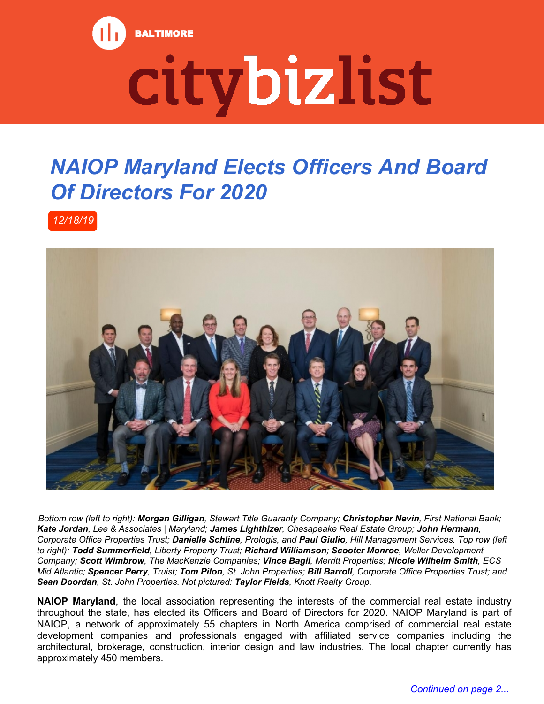

## citybizlist

## *NAIOP Maryland Elects Officers And Board Of Directors For 2020*

*12/18/19*



*Bottom row (left to right): Morgan Gilligan, Stewart Title Guaranty Company; Christopher Nevin, First National Bank; Kate Jordan, Lee & Associates | Maryland; James Lighthizer, Chesapeake Real Estate Group; John Hermann, Corporate Office Properties Trust; Danielle Schline, Prologis, and Paul Giulio, Hill Management Services. Top row (left to right): Todd Summerfield, Liberty Property Trust; Richard Williamson; Scooter Monroe, Weller Development Company; Scott Wimbrow, The MacKenzie Companies; Vince Bagli, Merritt Properties; Nicole Wilhelm Smith, ECS Mid Atlantic; Spencer Perry, Truist; Tom Pilon, St. John Properties; Bill Barroll, Corporate Office Properties Trust; and Sean Doordan, St. John Properties. Not pictured: Taylor Fields, Knott Realty Group.*

**NAIOP Maryland**, the local association representing the interests of the commercial real estate industry throughout the state, has elected its Officers and Board of Directors for 2020. NAIOP Maryland is part of NAIOP, a network of approximately 55 chapters in North America comprised of commercial real estate development companies and professionals engaged with affiliated service companies including the architectural, brokerage, construction, interior design and law industries. The local chapter currently has approximately 450 members.

 *Continued on page 2...*